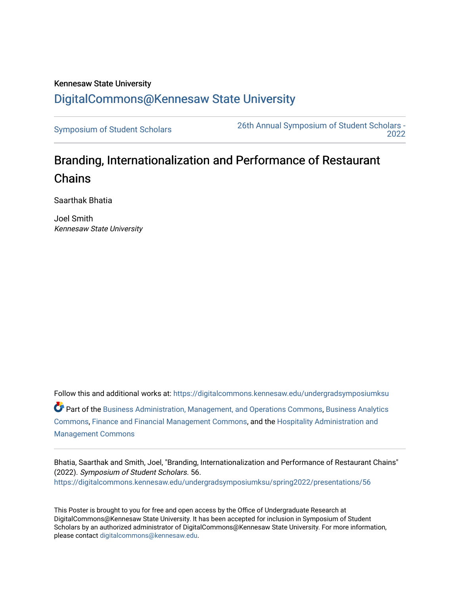## Kennesaw State University [DigitalCommons@Kennesaw State University](https://digitalcommons.kennesaw.edu/)

[Symposium of Student Scholars](https://digitalcommons.kennesaw.edu/undergradsymposiumksu) [26th Annual Symposium of Student Scholars -](https://digitalcommons.kennesaw.edu/undergradsymposiumksu/spring2022)  [2022](https://digitalcommons.kennesaw.edu/undergradsymposiumksu/spring2022) 

## Branding, Internationalization and Performance of Restaurant **Chains**

Saarthak Bhatia

Joel Smith Kennesaw State University

Follow this and additional works at: [https://digitalcommons.kennesaw.edu/undergradsymposiumksu](https://digitalcommons.kennesaw.edu/undergradsymposiumksu?utm_source=digitalcommons.kennesaw.edu%2Fundergradsymposiumksu%2Fspring2022%2Fpresentations%2F56&utm_medium=PDF&utm_campaign=PDFCoverPages)  Part of the [Business Administration, Management, and Operations Commons](http://network.bepress.com/hgg/discipline/623?utm_source=digitalcommons.kennesaw.edu%2Fundergradsymposiumksu%2Fspring2022%2Fpresentations%2F56&utm_medium=PDF&utm_campaign=PDFCoverPages), [Business Analytics](http://network.bepress.com/hgg/discipline/1398?utm_source=digitalcommons.kennesaw.edu%2Fundergradsymposiumksu%2Fspring2022%2Fpresentations%2F56&utm_medium=PDF&utm_campaign=PDFCoverPages) [Commons](http://network.bepress.com/hgg/discipline/1398?utm_source=digitalcommons.kennesaw.edu%2Fundergradsymposiumksu%2Fspring2022%2Fpresentations%2F56&utm_medium=PDF&utm_campaign=PDFCoverPages), [Finance and Financial Management Commons,](http://network.bepress.com/hgg/discipline/631?utm_source=digitalcommons.kennesaw.edu%2Fundergradsymposiumksu%2Fspring2022%2Fpresentations%2F56&utm_medium=PDF&utm_campaign=PDFCoverPages) and the [Hospitality Administration and](http://network.bepress.com/hgg/discipline/632?utm_source=digitalcommons.kennesaw.edu%2Fundergradsymposiumksu%2Fspring2022%2Fpresentations%2F56&utm_medium=PDF&utm_campaign=PDFCoverPages) [Management Commons](http://network.bepress.com/hgg/discipline/632?utm_source=digitalcommons.kennesaw.edu%2Fundergradsymposiumksu%2Fspring2022%2Fpresentations%2F56&utm_medium=PDF&utm_campaign=PDFCoverPages)

Bhatia, Saarthak and Smith, Joel, "Branding, Internationalization and Performance of Restaurant Chains" (2022). Symposium of Student Scholars. 56. [https://digitalcommons.kennesaw.edu/undergradsymposiumksu/spring2022/presentations/56](https://digitalcommons.kennesaw.edu/undergradsymposiumksu/spring2022/presentations/56?utm_source=digitalcommons.kennesaw.edu%2Fundergradsymposiumksu%2Fspring2022%2Fpresentations%2F56&utm_medium=PDF&utm_campaign=PDFCoverPages) 

This Poster is brought to you for free and open access by the Office of Undergraduate Research at DigitalCommons@Kennesaw State University. It has been accepted for inclusion in Symposium of Student Scholars by an authorized administrator of DigitalCommons@Kennesaw State University. For more information, please contact [digitalcommons@kennesaw.edu.](mailto:digitalcommons@kennesaw.edu)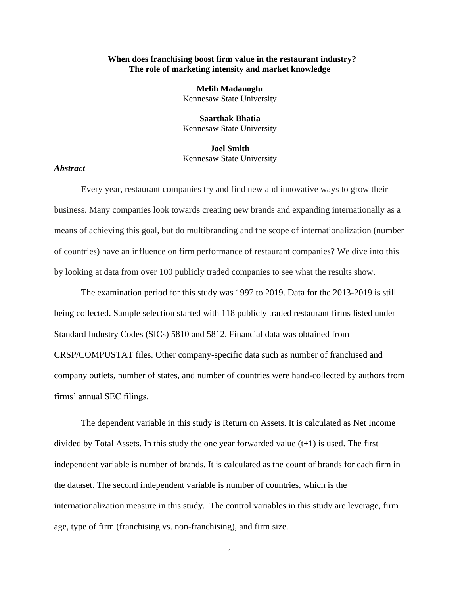## **When does franchising boost firm value in the restaurant industry? The role of marketing intensity and market knowledge**

**Melih Madanoglu**  Kennesaw State University

**Saarthak Bhatia** Kennesaw State University

**Joel Smith** Kennesaw State University

## *Abstract*

Every year, restaurant companies try and find new and innovative ways to grow their business. Many companies look towards creating new brands and expanding internationally as a means of achieving this goal, but do multibranding and the scope of internationalization (number of countries) have an influence on firm performance of restaurant companies? We dive into this by looking at data from over 100 publicly traded companies to see what the results show.

The examination period for this study was 1997 to 2019. Data for the 2013-2019 is still being collected. Sample selection started with 118 publicly traded restaurant firms listed under Standard Industry Codes (SICs) 5810 and 5812. Financial data was obtained from CRSP/COMPUSTAT files. Other company-specific data such as number of franchised and company outlets, number of states, and number of countries were hand-collected by authors from firms' annual SEC filings.

The dependent variable in this study is Return on Assets. It is calculated as Net Income divided by Total Assets. In this study the one year forwarded value (t+1) is used. The first independent variable is number of brands. It is calculated as the count of brands for each firm in the dataset. The second independent variable is number of countries, which is the internationalization measure in this study. The control variables in this study are leverage, firm age, type of firm (franchising vs. non-franchising), and firm size.

1